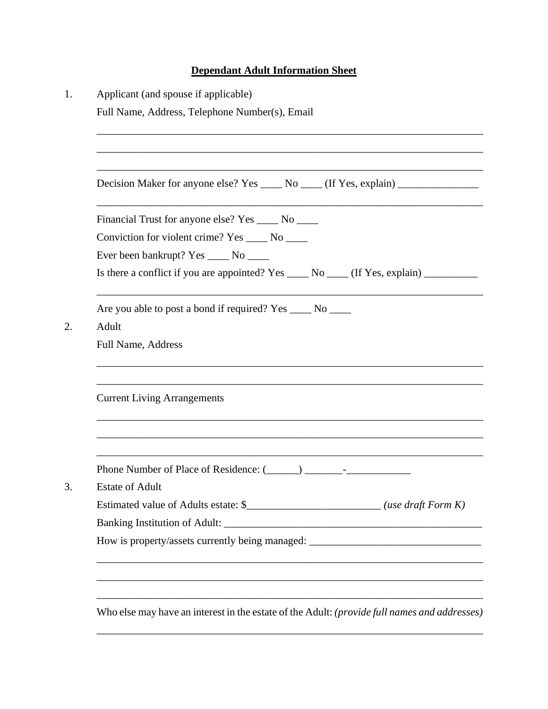## **Dependant Adult Information Sheet**

| Decision Maker for anyone else? Yes ______ No _____ (If Yes, explain) ___________             |  |  |  |  |
|-----------------------------------------------------------------------------------------------|--|--|--|--|
| Financial Trust for anyone else? Yes _____ No _____                                           |  |  |  |  |
| Conviction for violent crime? Yes ______ No _____                                             |  |  |  |  |
| Ever been bankrupt? Yes _____ No _____                                                        |  |  |  |  |
| Is there a conflict if you are appointed? Yes _______ No ______ (If Yes, explain) ___________ |  |  |  |  |
| Are you able to post a bond if required? Yes _____ No _____                                   |  |  |  |  |
| Adult                                                                                         |  |  |  |  |
| Full Name, Address                                                                            |  |  |  |  |
|                                                                                               |  |  |  |  |
| <b>Current Living Arrangements</b>                                                            |  |  |  |  |
|                                                                                               |  |  |  |  |
|                                                                                               |  |  |  |  |
| <b>Estate of Adult</b>                                                                        |  |  |  |  |
| Estimated value of Adults estate: \$______________________________(use draft Form K)          |  |  |  |  |
|                                                                                               |  |  |  |  |
| How is property/assets currently being managed: ________________________________              |  |  |  |  |

\_\_\_\_\_\_\_\_\_\_\_\_\_\_\_\_\_\_\_\_\_\_\_\_\_\_\_\_\_\_\_\_\_\_\_\_\_\_\_\_\_\_\_\_\_\_\_\_\_\_\_\_\_\_\_\_\_\_\_\_\_\_\_\_\_\_\_\_\_\_\_\_